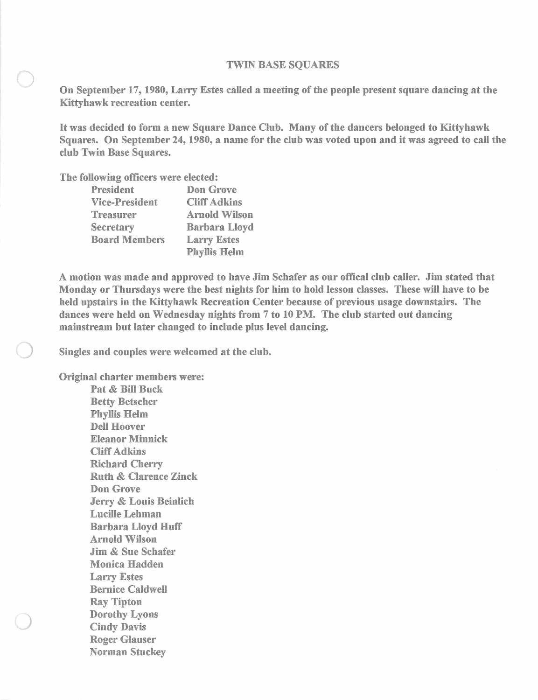## TWIN BASE SQUARES

On September 17, 1980, Larry Estes called a meeting of the people present square dancing at the Kittyhawk recreation center.

It was decided to form a new Square Dance Club. Many of the dancers belonged to Kittyhawk Squares. On September 24, 1980, a name for the club was voted upon and it was agreed to call the club Twin Base Squares.

The following officers were elected:

| President             | Don Grove            |
|-----------------------|----------------------|
| <b>Vice-President</b> | <b>Cliff Adkins</b>  |
| Treasurer             | <b>Arnold Wilson</b> |
| Secretary             | <b>Barbara Lloyd</b> |
| <b>Board Members</b>  | <b>Larry Estes</b>   |
|                       | <b>Phyllis Helm</b>  |

A motion was made and approved to have Jim Schafer as our offical club caller. Jim stated that Monday or Thursdays were the best nights for him to hold lesson classes. These will have to be held upstairs in the Kittyhawk Recreation Center because of previous usage downstairs. The dances were held on Wednesday nights from 7 to 10 PM. The club started out dancing mainstream but later changed to include plus level dancing.

Singles and couples were welcomed at the club.

Original charter members were:

Pat & Bill Buck Betty Betscher Phyllis Helm Dell Hoover Eleanor Minnick Cliff Adkins Richard Cherry Ruth & Clarence Zinck Don Grove Jerry & Louis Beinlich Lucille Lehman Barbara Lloyd Huff Arnold Wilson Jim & Sue Schafer Monica Hadden Larry Estes Bernice Caldwell Ray Tipton Dorothy Lyons Cindy Davis Roger Glauser Norman Stuckey